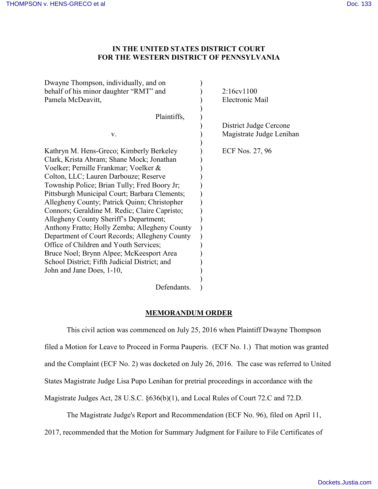## **IN THE UNITED STATES DISTRICT COURT FOR THE WESTERN DISTRICT OF PENNSYLVANIA**

| Dwayne Thompson, individually, and on                       | 2:16cv1100               |
|-------------------------------------------------------------|--------------------------|
| behalf of his minor daughter "RMT" and<br>Pamela McDeavitt, | Electronic Mail          |
|                                                             |                          |
| Plaintiffs,                                                 |                          |
|                                                             | District Judge Cercone   |
| V.                                                          | Magistrate Judge Lenihan |
|                                                             |                          |
| Kathryn M. Hens-Greco; Kimberly Berkeley                    | ECF Nos. 27, 96          |
| Clark, Krista Abram; Shane Mock; Jonathan                   |                          |
| Voelker; Pernille Frankmar; Voelker &                       |                          |
| Colton, LLC; Lauren Darbouze; Reserve                       |                          |
| Township Police; Brian Tully; Fred Boory Jr;                |                          |
| Pittsburgh Municipal Court; Barbara Clements;               |                          |
| Allegheny County; Patrick Quinn; Christopher                |                          |
| Connors; Geraldine M. Redic; Claire Capristo;               |                          |
| Allegheny County Sheriff's Department;                      |                          |
| Anthony Fratto; Holly Zemba; Allegheny County               |                          |
| Department of Court Records; Allegheny County               |                          |
| Office of Children and Youth Services;                      |                          |
| Bruce Noel; Brynn Alpee; McKeesport Area                    |                          |
| School District; Fifth Judicial District; and               |                          |
| John and Jane Does, 1-10,                                   |                          |
|                                                             |                          |
| Defendants.                                                 |                          |

## **MEMORANDUM ORDER**

This civil action was commenced on July 25, 2016 when Plaintiff Dwayne Thompson filed a Motion for Leave to Proceed in Forma Pauperis. (ECF No. 1.) That motion was granted and the Complaint (ECF No. 2) was docketed on July 26, 2016. The case was referred to United States Magistrate Judge Lisa Pupo Lenihan for pretrial proceedings in accordance with the Magistrate Judges Act, 28 U.S.C. §636(b)(1), and Local Rules of Court 72.C and 72.D.

The Magistrate Judge's Report and Recommendation (ECF No. 96), filed on April 11,

2017, recommended that the Motion for Summary Judgment for Failure to File Certificates of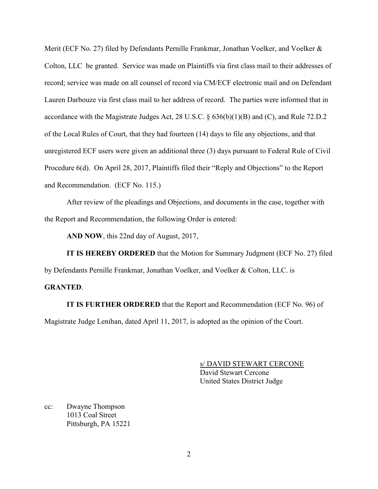Merit (ECF No. 27) filed by Defendants Pernille Frankmar, Jonathan Voelker, and Voelker & Colton, LLC be granted. Service was made on Plaintiffs via first class mail to their addresses of record; service was made on all counsel of record via CM/ECF electronic mail and on Defendant Lauren Darbouze via first class mail to her address of record. The parties were informed that in accordance with the Magistrate Judges Act, 28 U.S.C. § 636(b)(1)(B) and (C), and Rule 72.D.2 of the Local Rules of Court, that they had fourteen (14) days to file any objections, and that unregistered ECF users were given an additional three (3) days pursuant to Federal Rule of Civil Procedure 6(d). On April 28, 2017, Plaintiffs filed their "Reply and Objections" to the Report and Recommendation. (ECF No. 115.)

After review of the pleadings and Objections, and documents in the case, together with the Report and Recommendation, the following Order is entered:

**AND NOW**, this 22nd day of August, 2017,

**IT IS HEREBY ORDERED** that the Motion for Summary Judgment (ECF No. 27) filed by Defendants Pernille Frankmar, Jonathan Voelker, and Voelker & Colton, LLC. is

## **GRANTED**.

**IT IS FURTHER ORDERED** that the Report and Recommendation (ECF No. 96) of Magistrate Judge Lenihan, dated April 11, 2017, is adopted as the opinion of the Court.

> s/ DAVID STEWART CERCONE David Stewart Cercone United States District Judge

cc: Dwayne Thompson 1013 Coal Street Pittsburgh, PA 15221